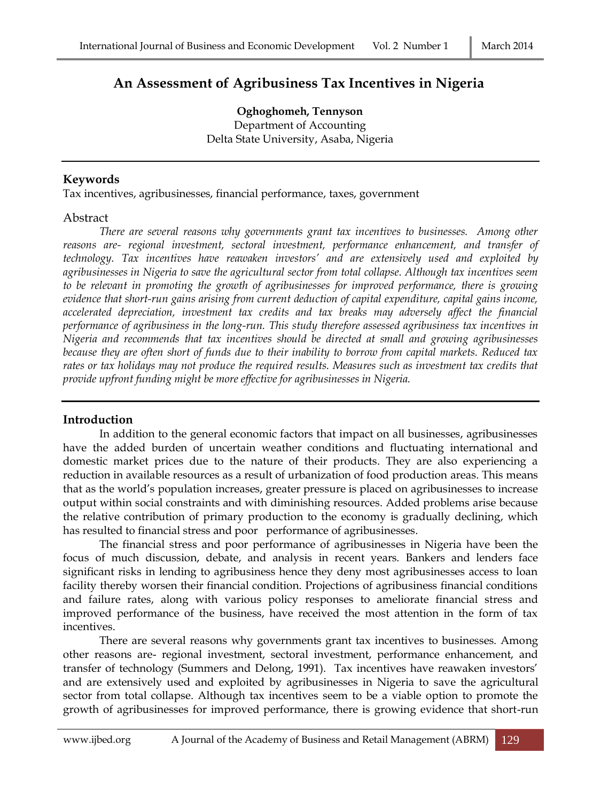# **An Assessment of Agribusiness Tax Incentives in Nigeria**

**Oghoghomeh, Tennyson** 

Department of Accounting Delta State University, Asaba, Nigeria

## **Keywords**

Tax incentives, agribusinesses, financial performance, taxes, government

#### Abstract

*There are several reasons why governments grant tax incentives to businesses. Among other reasons are- regional investment, sectoral investment, performance enhancement, and transfer of technology. Tax incentives have reawaken investors' and are extensively used and exploited by agribusinesses in Nigeria to save the agricultural sector from total collapse. Although tax incentives seem to be relevant in promoting the growth of agribusinesses for improved performance, there is growing evidence that short-run gains arising from current deduction of capital expenditure, capital gains income, accelerated depreciation, investment tax credits and tax breaks may adversely affect the financial performance of agribusiness in the long-run. This study therefore assessed agribusiness tax incentives in Nigeria and recommends that tax incentives should be directed at small and growing agribusinesses because they are often short of funds due to their inability to borrow from capital markets. Reduced tax rates or tax holidays may not produce the required results. Measures such as investment tax credits that provide upfront funding might be more effective for agribusinesses in Nigeria.*

## **Introduction**

In addition to the general economic factors that impact on all businesses, agribusinesses have the added burden of uncertain weather conditions and fluctuating international and domestic market prices due to the nature of their products. They are also experiencing a reduction in available resources as a result of urbanization of food production areas. This means that as the world's population increases, greater pressure is placed on agribusinesses to increase output within social constraints and with diminishing resources. Added problems arise because the relative contribution of primary production to the economy is gradually declining, which has resulted to financial stress and poor performance of agribusinesses.

The financial stress and poor performance of agribusinesses in Nigeria have been the focus of much discussion, debate, and analysis in recent years. Bankers and lenders face significant risks in lending to agribusiness hence they deny most agribusinesses access to loan facility thereby worsen their financial condition. Projections of agribusiness financial conditions and failure rates, along with various policy responses to ameliorate financial stress and improved performance of the business, have received the most attention in the form of tax incentives.

There are several reasons why governments grant tax incentives to businesses. Among other reasons are- regional investment, sectoral investment, performance enhancement, and transfer of technology (Summers and Delong, 1991). Tax incentives have reawaken investors' and are extensively used and exploited by agribusinesses in Nigeria to save the agricultural sector from total collapse. Although tax incentives seem to be a viable option to promote the growth of agribusinesses for improved performance, there is growing evidence that short-run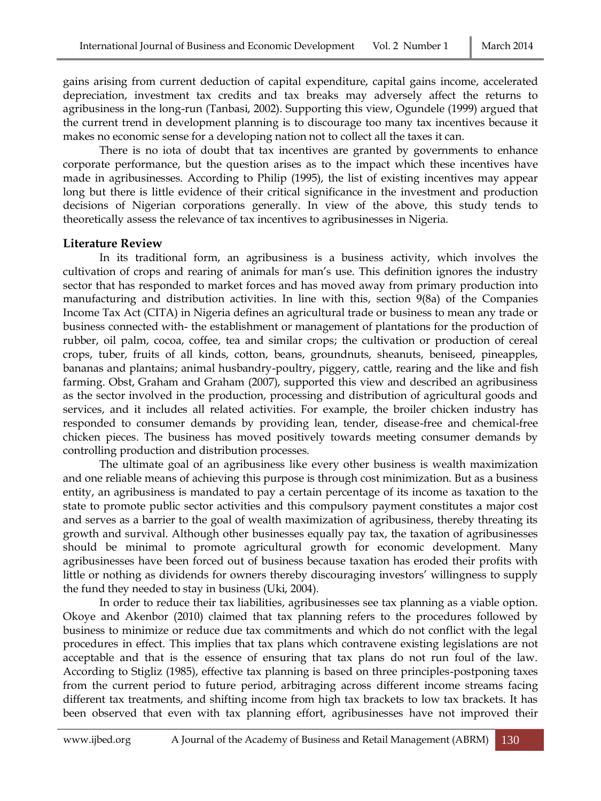gains arising from current deduction of capital expenditure, capital gains income, accelerated depreciation, investment tax credits and tax breaks may adversely affect the returns to agribusiness in the long-run (Tanbasi, 2002). Supporting this view, Ogundele (1999) argued that the current trend in development planning is to discourage too many tax incentives because it makes no economic sense for a developing nation not to collect all the taxes it can.

There is no iota of doubt that tax incentives are granted by governments to enhance corporate performance, but the question arises as to the impact which these incentives have made in agribusinesses. According to Philip (1995), the list of existing incentives may appear long but there is little evidence of their critical significance in the investment and production decisions of Nigerian corporations generally. In view of the above, this study tends to theoretically assess the relevance of tax incentives to agribusinesses in Nigeria.

#### **Literature Review**

In its traditional form, an agribusiness is a business activity, which involves the cultivation of crops and rearing of animals for man's use. This definition ignores the industry sector that has responded to market forces and has moved away from primary production into manufacturing and distribution activities. In line with this, section 9(8a) of the Companies Income Tax Act (CITA) in Nigeria defines an agricultural trade or business to mean any trade or business connected with- the establishment or management of plantations for the production of rubber, oil palm, cocoa, coffee, tea and similar crops; the cultivation or production of cereal crops, tuber, fruits of all kinds, cotton, beans, groundnuts, sheanuts, beniseed, pineapples, bananas and plantains; animal husbandry-poultry, piggery, cattle, rearing and the like and fish farming. Obst, Graham and Graham (2007), supported this view and described an agribusiness as the sector involved in the production, processing and distribution of agricultural goods and services, and it includes all related activities. For example, the broiler chicken industry has responded to consumer demands by providing lean, tender, disease-free and chemical-free chicken pieces. The business has moved positively towards meeting consumer demands by controlling production and distribution processes.

The ultimate goal of an agribusiness like every other business is wealth maximization and one reliable means of achieving this purpose is through cost minimization. But as a business entity, an agribusiness is mandated to pay a certain percentage of its income as taxation to the state to promote public sector activities and this compulsory payment constitutes a major cost and serves as a barrier to the goal of wealth maximization of agribusiness, thereby threating its growth and survival. Although other businesses equally pay tax, the taxation of agribusinesses should be minimal to promote agricultural growth for economic development. Many agribusinesses have been forced out of business because taxation has eroded their profits with little or nothing as dividends for owners thereby discouraging investors' willingness to supply the fund they needed to stay in business (Uki, 2004).

In order to reduce their tax liabilities, agribusinesses see tax planning as a viable option. Okoye and Akenbor (2010) claimed that tax planning refers to the procedures followed by business to minimize or reduce due tax commitments and which do not conflict with the legal procedures in effect. This implies that tax plans which contravene existing legislations are not acceptable and that is the essence of ensuring that tax plans do not run foul of the law. According to Stigliz (1985), effective tax planning is based on three principles-postponing taxes from the current period to future period, arbitraging across different income streams facing different tax treatments, and shifting income from high tax brackets to low tax brackets. It has been observed that even with tax planning effort, agribusinesses have not improved their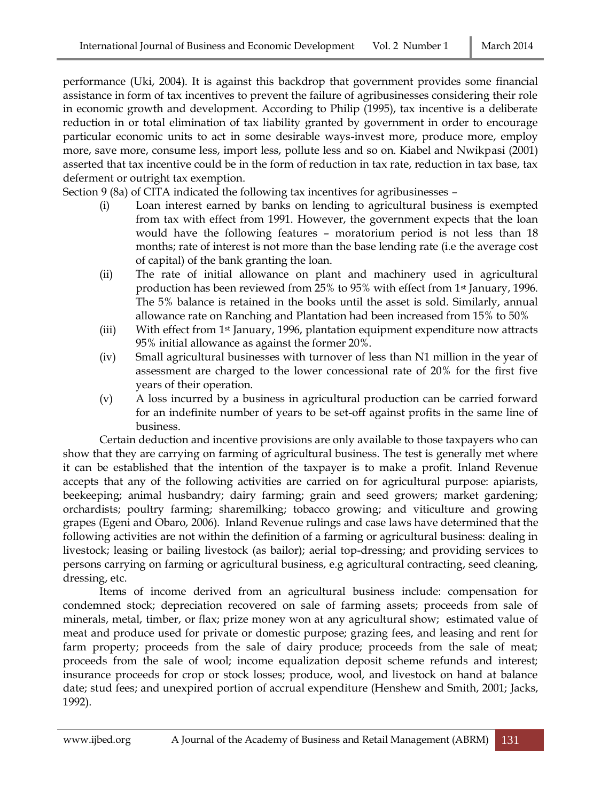performance (Uki, 2004). It is against this backdrop that government provides some financial assistance in form of tax incentives to prevent the failure of agribusinesses considering their role in economic growth and development. According to Philip (1995), tax incentive is a deliberate reduction in or total elimination of tax liability granted by government in order to encourage particular economic units to act in some desirable ways-invest more, produce more, employ more, save more, consume less, import less, pollute less and so on. Kiabel and Nwikpasi (2001) asserted that tax incentive could be in the form of reduction in tax rate, reduction in tax base, tax deferment or outright tax exemption.

Section 9 (8a) of CITA indicated the following tax incentives for agribusinesses –

- (i) Loan interest earned by banks on lending to agricultural business is exempted from tax with effect from 1991. However, the government expects that the loan would have the following features – moratorium period is not less than 18 months; rate of interest is not more than the base lending rate (i.e the average cost of capital) of the bank granting the loan.
- (ii) The rate of initial allowance on plant and machinery used in agricultural production has been reviewed from 25% to 95% with effect from 1st January, 1996. The 5% balance is retained in the books until the asset is sold. Similarly, annual allowance rate on Ranching and Plantation had been increased from 15% to 50%
- (iii) With effect from 1st January, 1996, plantation equipment expenditure now attracts 95% initial allowance as against the former 20%.
- (iv) Small agricultural businesses with turnover of less than N1 million in the year of assessment are charged to the lower concessional rate of 20% for the first five years of their operation.
- (v) A loss incurred by a business in agricultural production can be carried forward for an indefinite number of years to be set-off against profits in the same line of business.

Certain deduction and incentive provisions are only available to those taxpayers who can show that they are carrying on farming of agricultural business. The test is generally met where it can be established that the intention of the taxpayer is to make a profit. Inland Revenue accepts that any of the following activities are carried on for agricultural purpose: apiarists, beekeeping; animal husbandry; dairy farming; grain and seed growers; market gardening; orchardists; poultry farming; sharemilking; tobacco growing; and viticulture and growing grapes (Egeni and Obaro, 2006). Inland Revenue rulings and case laws have determined that the following activities are not within the definition of a farming or agricultural business: dealing in livestock; leasing or bailing livestock (as bailor); aerial top-dressing; and providing services to persons carrying on farming or agricultural business, e.g agricultural contracting, seed cleaning, dressing, etc.

Items of income derived from an agricultural business include: compensation for condemned stock; depreciation recovered on sale of farming assets; proceeds from sale of minerals, metal, timber, or flax; prize money won at any agricultural show; estimated value of meat and produce used for private or domestic purpose; grazing fees, and leasing and rent for farm property; proceeds from the sale of dairy produce; proceeds from the sale of meat; proceeds from the sale of wool; income equalization deposit scheme refunds and interest; insurance proceeds for crop or stock losses; produce, wool, and livestock on hand at balance date; stud fees; and unexpired portion of accrual expenditure (Henshew and Smith, 2001; Jacks, 1992).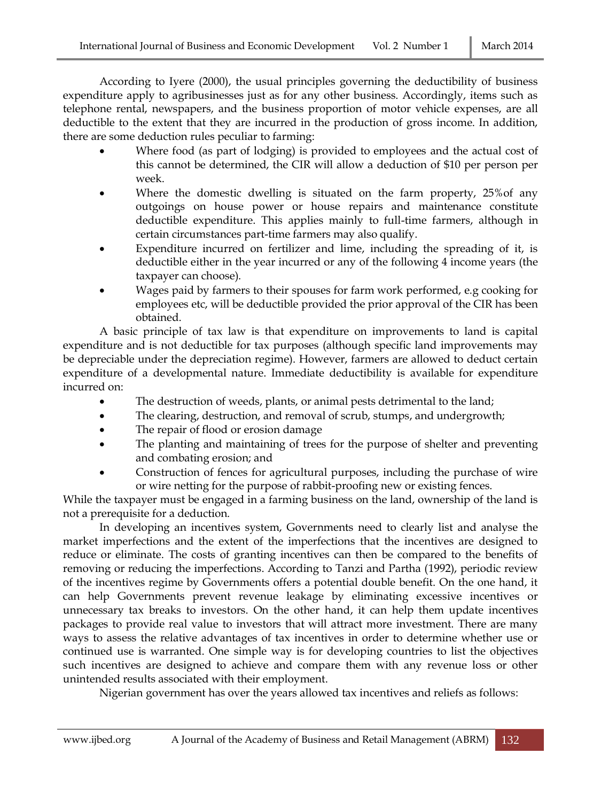According to Iyere (2000), the usual principles governing the deductibility of business expenditure apply to agribusinesses just as for any other business. Accordingly, items such as telephone rental, newspapers, and the business proportion of motor vehicle expenses, are all deductible to the extent that they are incurred in the production of gross income. In addition, there are some deduction rules peculiar to farming:

- Where food (as part of lodging) is provided to employees and the actual cost of this cannot be determined, the CIR will allow a deduction of \$10 per person per week.
- Where the domestic dwelling is situated on the farm property, 25%of any outgoings on house power or house repairs and maintenance constitute deductible expenditure. This applies mainly to full-time farmers, although in certain circumstances part-time farmers may also qualify.
- Expenditure incurred on fertilizer and lime, including the spreading of it, is deductible either in the year incurred or any of the following 4 income years (the taxpayer can choose).
- Wages paid by farmers to their spouses for farm work performed, e.g cooking for employees etc, will be deductible provided the prior approval of the CIR has been obtained.

A basic principle of tax law is that expenditure on improvements to land is capital expenditure and is not deductible for tax purposes (although specific land improvements may be depreciable under the depreciation regime). However, farmers are allowed to deduct certain expenditure of a developmental nature. Immediate deductibility is available for expenditure incurred on:

- The destruction of weeds, plants, or animal pests detrimental to the land;
- The clearing, destruction, and removal of scrub, stumps, and undergrowth;
- The repair of flood or erosion damage
- The planting and maintaining of trees for the purpose of shelter and preventing and combating erosion; and
- Construction of fences for agricultural purposes, including the purchase of wire or wire netting for the purpose of rabbit-proofing new or existing fences.

While the taxpayer must be engaged in a farming business on the land, ownership of the land is not a prerequisite for a deduction.

In developing an incentives system, Governments need to clearly list and analyse the market imperfections and the extent of the imperfections that the incentives are designed to reduce or eliminate. The costs of granting incentives can then be compared to the benefits of removing or reducing the imperfections. According to Tanzi and Partha (1992), periodic review of the incentives regime by Governments offers a potential double benefit. On the one hand, it can help Governments prevent revenue leakage by eliminating excessive incentives or unnecessary tax breaks to investors. On the other hand, it can help them update incentives packages to provide real value to investors that will attract more investment. There are many ways to assess the relative advantages of tax incentives in order to determine whether use or continued use is warranted. One simple way is for developing countries to list the objectives such incentives are designed to achieve and compare them with any revenue loss or other unintended results associated with their employment.

Nigerian government has over the years allowed tax incentives and reliefs as follows: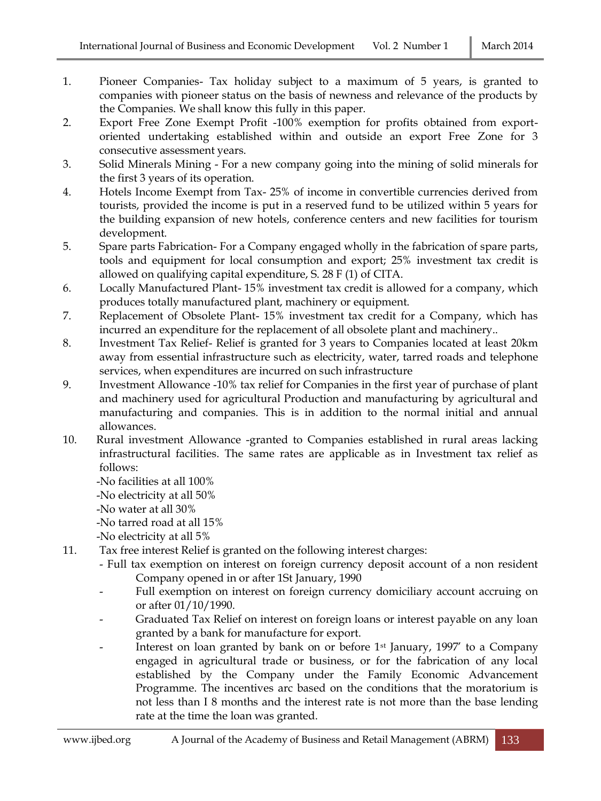- 1. Pioneer Companies- Tax holiday subject to a maximum of 5 years, is granted to companies with pioneer status on the basis of newness and relevance of the products by the Companies. We shall know this fully in this paper.
- 2. Export Free Zone Exempt Profit -100% exemption for profits obtained from exportoriented undertaking established within and outside an export Free Zone for 3 consecutive assessment years.
- 3. Solid Minerals Mining For a new company going into the mining of solid minerals for the first 3 years of its operation.
- 4. Hotels Income Exempt from Tax- 25% of income in convertible currencies derived from tourists, provided the income is put in a reserved fund to be utilized within 5 years for the building expansion of new hotels, conference centers and new facilities for tourism development.
- 5. Spare parts Fabrication- For a Company engaged wholly in the fabrication of spare parts, tools and equipment for local consumption and export; 25% investment tax credit is allowed on qualifying capital expenditure, S. 28 F (1) of CITA.
- 6. Locally Manufactured Plant- 15% investment tax credit is allowed for a company, which produces totally manufactured plant, machinery or equipment.
- 7. Replacement of Obsolete Plant- 15% investment tax credit for a Company, which has incurred an expenditure for the replacement of all obsolete plant and machinery..
- 8. Investment Tax Relief- Relief is granted for 3 years to Companies located at least 20km away from essential infrastructure such as electricity, water, tarred roads and telephone services, when expenditures are incurred on such infrastructure
- 9. Investment Allowance -10% tax relief for Companies in the first year of purchase of plant and machinery used for agricultural Production and manufacturing by agricultural and manufacturing and companies. This is in addition to the normal initial and annual allowances.
- 10. Rural investment Allowance -granted to Companies established in rural areas lacking infrastructural facilities. The same rates are applicable as in Investment tax relief as follows:

-No facilities at all 100%

-No electricity at all 50%

-No water at all 30%

-No tarred road at all 15%

-No electricity at all 5%

- 11. Tax free interest Relief is granted on the following interest charges:
	- Full tax exemption on interest on foreign currency deposit account of a non resident Company opened in or after 1St January, 1990
	- Full exemption on interest on foreign currency domiciliary account accruing on or after 01/10/1990.
	- Graduated Tax Relief on interest on foreign loans or interest payable on any loan granted by a bank for manufacture for export.
	- Interest on loan granted by bank on or before 1<sup>st</sup> January, 1997' to a Company engaged in agricultural trade or business, or for the fabrication of any local established by the Company under the Family Economic Advancement Programme. The incentives arc based on the conditions that the moratorium is not less than I 8 months and the interest rate is not more than the base lending rate at the time the loan was granted.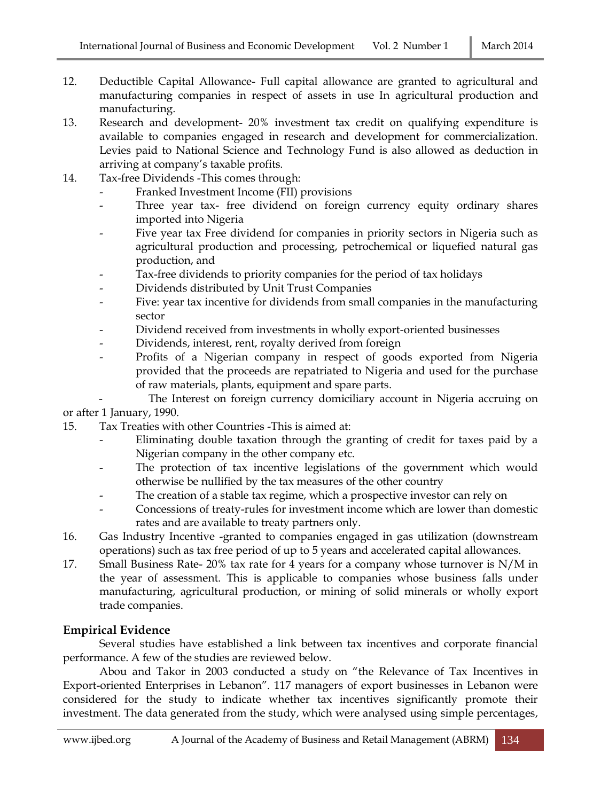- 12. Deductible Capital Allowance- Full capital allowance are granted to agricultural and manufacturing companies in respect of assets in use In agricultural production and manufacturing.
- 13. Research and development- 20% investment tax credit on qualifying expenditure is available to companies engaged in research and development for commercialization. Levies paid to National Science and Technology Fund is also allowed as deduction in arriving at company's taxable profits.
- 14. Tax-free Dividends -This comes through:
	- Franked Investment Income (FII) provisions
	- Three year tax- free dividend on foreign currency equity ordinary shares imported into Nigeria
	- Five year tax Free dividend for companies in priority sectors in Nigeria such as agricultural production and processing, petrochemical or liquefied natural gas production, and
	- Tax-free dividends to priority companies for the period of tax holidays
	- Dividends distributed by Unit Trust Companies
	- Five: year tax incentive for dividends from small companies in the manufacturing sector
	- Dividend received from investments in wholly export-oriented businesses
	- Dividends, interest, rent, royalty derived from foreign
	- Profits of a Nigerian company in respect of goods exported from Nigeria provided that the proceeds are repatriated to Nigeria and used for the purchase of raw materials, plants, equipment and spare parts.

The Interest on foreign currency domiciliary account in Nigeria accruing on or after 1 January, 1990.

- 15. Tax Treaties with other Countries -This is aimed at:
	- Eliminating double taxation through the granting of credit for taxes paid by a Nigerian company in the other company etc.
	- The protection of tax incentive legislations of the government which would otherwise be nullified by the tax measures of the other country
	- The creation of a stable tax regime, which a prospective investor can rely on
	- Concessions of treaty-rules for investment income which are lower than domestic rates and are available to treaty partners only.
- 16. Gas Industry Incentive -granted to companies engaged in gas utilization (downstream operations) such as tax free period of up to 5 years and accelerated capital allowances.
- 17. Small Business Rate- 20% tax rate for 4 years for a company whose turnover is N/M in the year of assessment. This is applicable to companies whose business falls under manufacturing, agricultural production, or mining of solid minerals or wholly export trade companies.

# **Empirical Evidence**

Several studies have established a link between tax incentives and corporate financial performance. A few of the studies are reviewed below.

Abou and Takor in 2003 conducted a study on "the Relevance of Tax Incentives in Export-oriented Enterprises in Lebanon". 117 managers of export businesses in Lebanon were considered for the study to indicate whether tax incentives significantly promote their investment. The data generated from the study, which were analysed using simple percentages,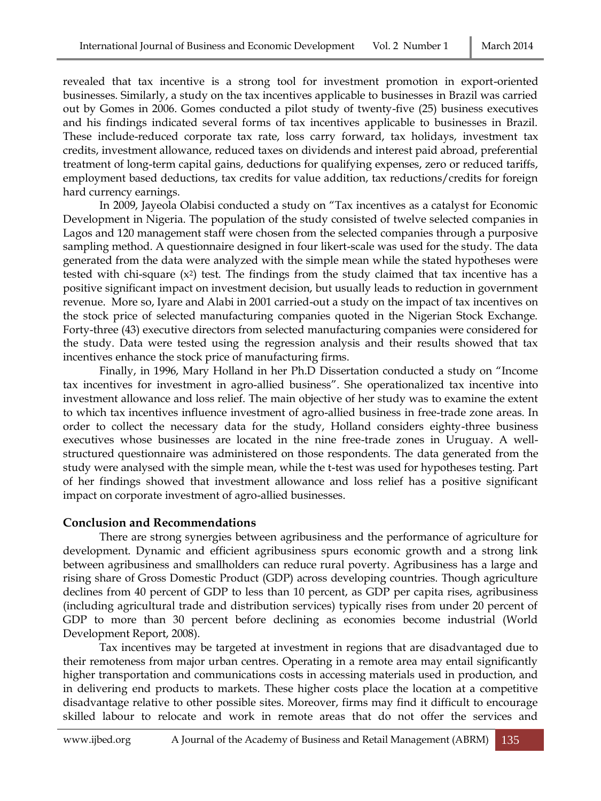revealed that tax incentive is a strong tool for investment promotion in export-oriented businesses. Similarly, a study on the tax incentives applicable to businesses in Brazil was carried out by Gomes in 2006. Gomes conducted a pilot study of twenty-five (25) business executives and his findings indicated several forms of tax incentives applicable to businesses in Brazil. These include-reduced corporate tax rate, loss carry forward, tax holidays, investment tax credits, investment allowance, reduced taxes on dividends and interest paid abroad, preferential treatment of long-term capital gains, deductions for qualifying expenses, zero or reduced tariffs, employment based deductions, tax credits for value addition, tax reductions/credits for foreign hard currency earnings.

In 2009, Jayeola Olabisi conducted a study on "Tax incentives as a catalyst for Economic Development in Nigeria. The population of the study consisted of twelve selected companies in Lagos and 120 management staff were chosen from the selected companies through a purposive sampling method. A questionnaire designed in four likert-scale was used for the study. The data generated from the data were analyzed with the simple mean while the stated hypotheses were tested with chi-square  $(x^2)$  test. The findings from the study claimed that tax incentive has a positive significant impact on investment decision, but usually leads to reduction in government revenue. More so, Iyare and Alabi in 2001 carried-out a study on the impact of tax incentives on the stock price of selected manufacturing companies quoted in the Nigerian Stock Exchange. Forty-three (43) executive directors from selected manufacturing companies were considered for the study. Data were tested using the regression analysis and their results showed that tax incentives enhance the stock price of manufacturing firms.

Finally, in 1996, Mary Holland in her Ph.D Dissertation conducted a study on "Income tax incentives for investment in agro-allied business". She operationalized tax incentive into investment allowance and loss relief. The main objective of her study was to examine the extent to which tax incentives influence investment of agro-allied business in free-trade zone areas. In order to collect the necessary data for the study, Holland considers eighty-three business executives whose businesses are located in the nine free-trade zones in Uruguay. A wellstructured questionnaire was administered on those respondents. The data generated from the study were analysed with the simple mean, while the t-test was used for hypotheses testing. Part of her findings showed that investment allowance and loss relief has a positive significant impact on corporate investment of agro-allied businesses.

# **Conclusion and Recommendations**

There are strong synergies between agribusiness and the performance of agriculture for development. Dynamic and efficient agribusiness spurs economic growth and a strong link between agribusiness and smallholders can reduce rural poverty. Agribusiness has a large and rising share of Gross Domestic Product (GDP) across developing countries. Though agriculture declines from 40 percent of GDP to less than 10 percent, as GDP per capita rises, agribusiness (including agricultural trade and distribution services) typically rises from under 20 percent of GDP to more than 30 percent before declining as economies become industrial (World Development Report, 2008).

Tax incentives may be targeted at investment in regions that are disadvantaged due to their remoteness from major urban centres. Operating in a remote area may entail significantly higher transportation and communications costs in accessing materials used in production, and in delivering end products to markets. These higher costs place the location at a competitive disadvantage relative to other possible sites. Moreover, firms may find it difficult to encourage skilled labour to relocate and work in remote areas that do not offer the services and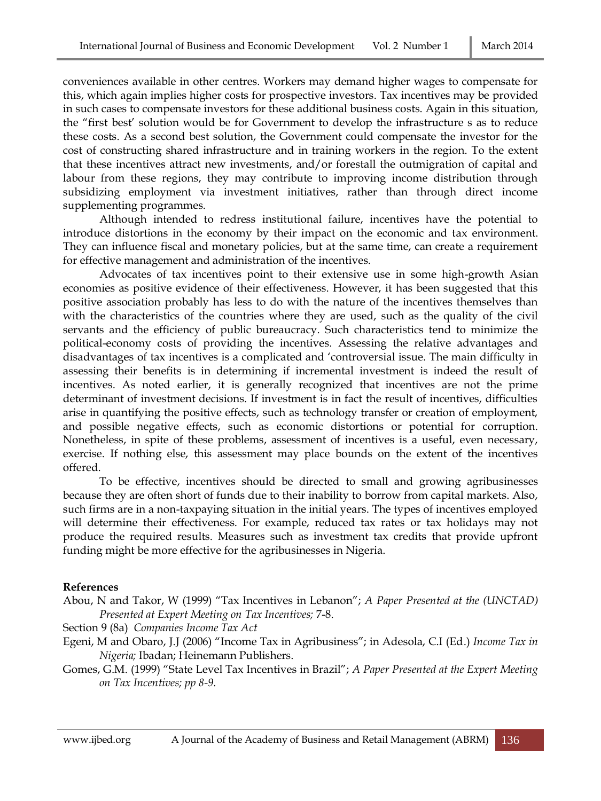conveniences available in other centres. Workers may demand higher wages to compensate for this, which again implies higher costs for prospective investors. Tax incentives may be provided in such cases to compensate investors for these additional business costs. Again in this situation, the "first best' solution would be for Government to develop the infrastructure s as to reduce these costs. As a second best solution, the Government could compensate the investor for the cost of constructing shared infrastructure and in training workers in the region. To the extent that these incentives attract new investments, and/or forestall the outmigration of capital and labour from these regions, they may contribute to improving income distribution through subsidizing employment via investment initiatives, rather than through direct income supplementing programmes.

Although intended to redress institutional failure, incentives have the potential to introduce distortions in the economy by their impact on the economic and tax environment. They can influence fiscal and monetary policies, but at the same time, can create a requirement for effective management and administration of the incentives.

Advocates of tax incentives point to their extensive use in some high-growth Asian economies as positive evidence of their effectiveness. However, it has been suggested that this positive association probably has less to do with the nature of the incentives themselves than with the characteristics of the countries where they are used, such as the quality of the civil servants and the efficiency of public bureaucracy. Such characteristics tend to minimize the political-economy costs of providing the incentives. Assessing the relative advantages and disadvantages of tax incentives is a complicated and 'controversial issue. The main difficulty in assessing their benefits is in determining if incremental investment is indeed the result of incentives. As noted earlier, it is generally recognized that incentives are not the prime determinant of investment decisions. If investment is in fact the result of incentives, difficulties arise in quantifying the positive effects, such as technology transfer or creation of employment, and possible negative effects, such as economic distortions or potential for corruption. Nonetheless, in spite of these problems, assessment of incentives is a useful, even necessary, exercise. If nothing else, this assessment may place bounds on the extent of the incentives offered.

To be effective, incentives should be directed to small and growing agribusinesses because they are often short of funds due to their inability to borrow from capital markets. Also, such firms are in a non-taxpaying situation in the initial years. The types of incentives employed will determine their effectiveness. For example, reduced tax rates or tax holidays may not produce the required results. Measures such as investment tax credits that provide upfront funding might be more effective for the agribusinesses in Nigeria.

## **References**

- Abou, N and Takor, W (1999) "Tax Incentives in Lebanon"; *A Paper Presented at the (UNCTAD) Presented at Expert Meeting on Tax Incentives;* 7-8.
- Section 9 (8a) *Companies Income Tax Act*
- Egeni, M and Obaro, J.J (2006) "Income Tax in Agribusiness"; in Adesola, C.I (Ed.) *Income Tax in Nigeria;* Ibadan; Heinemann Publishers.
- Gomes, G.M. (1999) "State Level Tax Incentives in Brazil"; *A Paper Presented at the Expert Meeting on Tax Incentives; pp 8-9.*